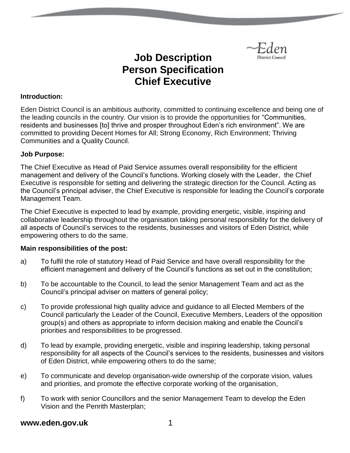

# **Job Description Person Specification Chief Executive**

#### **Introduction:**

Eden District Council is an ambitious authority, committed to continuing excellence and being one of the leading councils in the country. Our vision is to provide the opportunities for "Communities, residents and businesses [to] thrive and prosper throughout Eden's rich environment". We are committed to providing Decent Homes for All; Strong Economy, Rich Environment; Thriving Communities and a Quality Council.

#### **Job Purpose:**

The Chief Executive as Head of Paid Service assumes overall responsibility for the efficient management and delivery of the Council's functions. Working closely with the Leader, the Chief Executive is responsible for setting and delivering the strategic direction for the Council. Acting as the Council's principal adviser, the Chief Executive is responsible for leading the Council's corporate Management Team.

The Chief Executive is expected to lead by example, providing energetic, visible, inspiring and collaborative leadership throughout the organisation taking personal responsibility for the delivery of all aspects of Council's services to the residents, businesses and visitors of Eden District, while empowering others to do the same.

# **Main responsibilities of the post:**

- a) To fulfil the role of statutory Head of Paid Service and have overall responsibility for the efficient management and delivery of the Council's functions as set out in the constitution;
- b) To be accountable to the Council, to lead the senior Management Team and act as the Council's principal adviser on matters of general policy;
- c) To provide professional high quality advice and guidance to all Elected Members of the Council particularly the Leader of the Council, Executive Members, Leaders of the opposition group(s) and others as appropriate to inform decision making and enable the Council's priorities and responsibilities to be progressed.
- d) To lead by example, providing energetic, visible and inspiring leadership, taking personal responsibility for all aspects of the Council's services to the residents, businesses and visitors of Eden District, while empowering others to do the same;
- e) To communicate and develop organisation-wide ownership of the corporate vision, values and priorities, and promote the effective corporate working of the organisation,
- f) To work with senior Councillors and the senior Management Team to develop the Eden Vision and the Penrith Masterplan;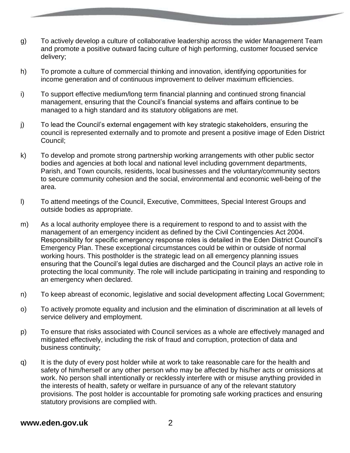- g) To actively develop a culture of collaborative leadership across the wider Management Team and promote a positive outward facing culture of high performing, customer focused service delivery;
- h) To promote a culture of commercial thinking and innovation, identifying opportunities for income generation and of continuous improvement to deliver maximum efficiencies.
- i) To support effective medium/long term financial planning and continued strong financial management, ensuring that the Council's financial systems and affairs continue to be managed to a high standard and its statutory obligations are met.
- j) To lead the Council's external engagement with key strategic stakeholders, ensuring the council is represented externally and to promote and present a positive image of Eden District Council;
- k) To develop and promote strong partnership working arrangements with other public sector bodies and agencies at both local and national level including government departments, Parish, and Town councils, residents, local businesses and the voluntary/community sectors to secure community cohesion and the social, environmental and economic well-being of the area.
- l) To attend meetings of the Council, Executive, Committees, Special Interest Groups and outside bodies as appropriate.
- m) As a local authority employee there is a requirement to respond to and to assist with the management of an emergency incident as defined by the Civil Contingencies Act 2004. Responsibility for specific emergency response roles is detailed in the Eden District Council's Emergency Plan. These exceptional circumstances could be within or outside of normal working hours. This postholder is the strategic lead on all emergency planning issues ensuring that the Council's legal duties are discharged and the Council plays an active role in protecting the local community. The role will include participating in training and responding to an emergency when declared.
- n) To keep abreast of economic, legislative and social development affecting Local Government;
- o) To actively promote equality and inclusion and the elimination of discrimination at all levels of service delivery and employment.
- p) To ensure that risks associated with Council services as a whole are effectively managed and mitigated effectively, including the risk of fraud and corruption, protection of data and business continuity;
- q) It is the duty of every post holder while at work to take reasonable care for the health and safety of him/herself or any other person who may be affected by his/her acts or omissions at work. No person shall intentionally or recklessly interfere with or misuse anything provided in the interests of health, safety or welfare in pursuance of any of the relevant statutory provisions. The post holder is accountable for promoting safe working practices and ensuring statutory provisions are complied with.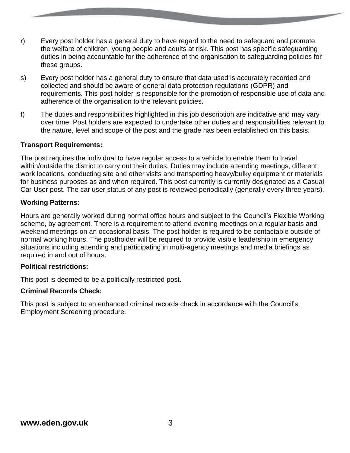- r) Every post holder has a general duty to have regard to the need to safeguard and promote the welfare of children, young people and adults at risk. This post has specific safeguarding duties in being accountable for the adherence of the organisation to safeguarding policies for these groups.
- s) Every post holder has a general duty to ensure that data used is accurately recorded and collected and should be aware of general data protection regulations (GDPR) and requirements. This post holder is responsible for the promotion of responsible use of data and adherence of the organisation to the relevant policies.
- t) The duties and responsibilities highlighted in this job description are indicative and may vary over time. Post holders are expected to undertake other duties and responsibilities relevant to the nature, level and scope of the post and the grade has been established on this basis.

# **Transport Requirements:**

The post requires the individual to have regular access to a vehicle to enable them to travel within/outside the district to carry out their duties. Duties may include attending meetings, different work locations, conducting site and other visits and transporting heavy/bulky equipment or materials for business purposes as and when required. This post currently is currently designated as a Casual Car User post. The car user status of any post is reviewed periodically (generally every three years).

#### **Working Patterns:**

Hours are generally worked during normal office hours and subject to the Council's Flexible Working scheme, by agreement. There is a requirement to attend evening meetings on a regular basis and weekend meetings on an occasional basis. The post holder is required to be contactable outside of normal working hours. The postholder will be required to provide visible leadership in emergency situations including attending and participating in multi-agency meetings and media briefings as required in and out of hours.

# **Political restrictions:**

This post is deemed to be a politically restricted post.

# **Criminal Records Check:**

This post is subject to an enhanced criminal records check in accordance with the Council's Employment Screening procedure.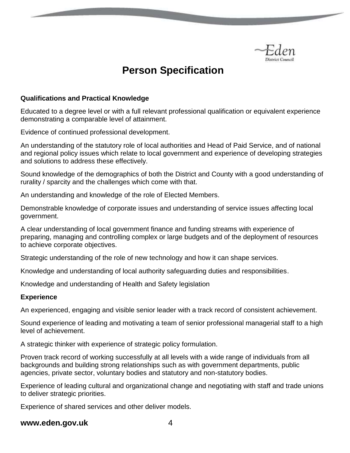

# **Person Specification**

#### **Qualifications and Practical Knowledge**

Educated to a degree level or with a full relevant professional qualification or equivalent experience demonstrating a comparable level of attainment.

Evidence of continued professional development.

An understanding of the statutory role of local authorities and Head of Paid Service, and of national and regional policy issues which relate to local government and experience of developing strategies and solutions to address these effectively.

Sound knowledge of the demographics of both the District and County with a good understanding of rurality / sparcity and the challenges which come with that.

An understanding and knowledge of the role of Elected Members.

Demonstrable knowledge of corporate issues and understanding of service issues affecting local government.

A clear understanding of local government finance and funding streams with experience of preparing, managing and controlling complex or large budgets and of the deployment of resources to achieve corporate objectives.

Strategic understanding of the role of new technology and how it can shape services.

Knowledge and understanding of local authority safeguarding duties and responsibilities.

Knowledge and understanding of Health and Safety legislation

#### **Experience**

An experienced, engaging and visible senior leader with a track record of consistent achievement.

Sound experience of leading and motivating a team of senior professional managerial staff to a high level of achievement.

A strategic thinker with experience of strategic policy formulation.

Proven track record of working successfully at all levels with a wide range of individuals from all backgrounds and building strong relationships such as with government departments, public agencies, private sector, voluntary bodies and statutory and non-statutory bodies.

Experience of leading cultural and organizational change and negotiating with staff and trade unions to deliver strategic priorities.

Experience of shared services and other deliver models.